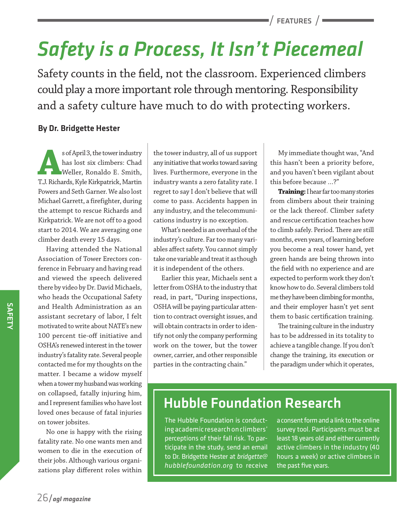/ FEATURES /

# *Safety is a Process, It Isn't Piecemeal*

Safety counts in the field, not the classroom. Experienced climbers could play a more important role through mentoring. Responsibility and a safety culture have much to do with protecting workers.

#### By Dr. Bridgette Hester

**As of April 3, the tower industry<br>
has lost six climbers: Chad<br>
Weller, Ronaldo E. Smith,<br>
T.J. Richards, Kyle Kirkpatrick, Martin** has lost six climbers: Chad Weller, Ronaldo E. Smith, Powers and Seth Garner. We also lost Michael Garrett, a firefighter, during the attempt to rescue Richards and Kirkpatrick. We are not off to a good start to 2014. We are averaging one climber death every 15 days.

Having attended the National Association of Tower Erectors conference in February and having read and viewed the speech delivered there by video by Dr. David Michaels, who heads the Occupational Safety and Health Administration as an assistant secretary of labor, I felt motivated to write about NATE's new 100 percent tie-off initiative and OSHA's renewed interest in the tower industry's fatality rate. Several people contacted me for my thoughts on the matter. I became a widow myself when a tower my husband was working on collapsed, fatally injuring him, and I represent families who have lost loved ones because of fatal injuries on tower jobsites.

No one is happy with the rising fatality rate. No one wants men and women to die in the execution of their jobs. Although various organizations play different roles within

the tower industry, all of us support any initiative that works toward saving lives. Furthermore, everyone in the industry wants a zero fatality rate. I regret to say I don't believe that will come to pass. Accidents happen in any industry, and the telecommunications industry is no exception.

What's needed is an overhaul of the industry's culture. Far too many variables affect safety. You cannot simply take one variable and treat it asthough it is independent of the others.

Earlier this year, Michaels sent a letter from OSHA to the industry that read, in part, "During inspections, OSHA will be paying particular attention to contract oversight issues, and will obtain contracts in order to identify not only the company performing work on the tower, but the tower owner, carrier, and other responsible parties in the contracting chain."

My immediate thought was, "And this hasn't been a priority before, and you haven't been vigilant about this before because …?"

**Training:** I hear far too many stories from climbers about their training or the lack thereof. Climber safety and rescue certification teaches how to climb safely. Period. There are still months, even years, of learning before you become a real tower hand, yet green hands are being thrown into the field with no experience and are expected to perform work they don't know how to do. Several climbers told me they have been climbing for months, and their employer hasn't yet sent them to basic certification training.

The training culture in the industry has to be addressed in its totality to achieve a tangible change. If you don't change the training, its execution or the paradigm under which it operates,

### Hubble Foundation Research

The Hubble Foundation is conducting academic research on climbers' perceptions of their fall risk. To participate in the study, send an email to Dr. Bridgette Hester at *bridgette@ hubblefoundation.org* to receive a consent form and a link to the online survey tool. Participants must be at least 18 years old and either currently active climbers in the industry (40 hours a week) or active climbers in the past five years.

SAFETY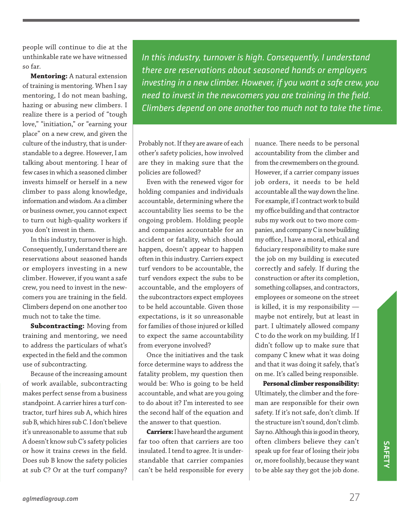people will continue to die at the unthinkable rate we have witnessed so far.

**Mentoring:** A natural extension of training is mentoring. When I say mentoring, I do not mean bashing, hazing or abusing new climbers. I realize there is a period of "tough love," "initiation," or "earning your place" on a new crew, and given the culture of the industry, that is understandable to a degree. However, I am talking about mentoring. I hear of few cases in which a seasoned climber invests himself or herself in a new climber to pass along knowledge, information and wisdom. As a climber or business owner, you cannot expect to turn out high-quality workers if you don't invest in them.

In this industry, turnover is high. Consequently, I understand there are reservations about seasoned hands or employers investing in a new climber. However, if you want a safe crew, you need to invest in the newcomers you are training in the field. Climbers depend on one another too much not to take the time.

**Subcontracting:** Moving from training and mentoring, we need to address the particulars of what's expected in the field and the common use of subcontracting.

Because of the increasing amount of work available, subcontracting makes perfect sense from a business standpoint. A carrier hires a turf contractor, turf hires sub A, which hires sub B, which hires sub C. I don't believe it's unreasonable to assume that sub A doesn't know sub C's safety policies or how it trains crews in the field. Does sub B know the safety policies at sub C? Or at the turf company?

*In this industry, turnover is high. Consequently, I understand there are reservations about seasoned hands or employers investing in a new climber. However, if you want a safe crew, you need to invest in the newcomers you are training in the field. Climbers depend on one another too much not to take the time.* 

Probably not. If they are aware of each other's safety policies, how involved are they in making sure that the policies are followed?

Even with the renewed vigor for holding companies and individuals accountable, determining where the accountability lies seems to be the ongoing problem. Holding people and companies accountable for an accident or fatality, which should happen, doesn't appear to happen often in this industry. Carriers expect turf vendors to be accountable, the turf vendors expect the subs to be accountable, and the employers of the subcontractors expect employees to be held accountable. Given those expectations, is it so unreasonable for families of those injured or killed to expect the same accountability from everyone involved?

Once the initiatives and the task force determine ways to address the fatality problem, my question then would be: Who is going to be held accountable, and what are you going to do about it? I'm interested to see the second half of the equation and the answer to that question.

**Carriers:** I have heard the argument far too often that carriers are too insulated. I tend to agree. It is understandable that carrier companies can't be held responsible for every

nuance. There needs to be personal accountability from the climber and from the crewmembers on the ground. However, if a carrier company issues job orders, it needs to be held accountable all the way down the line. For example, if I contract work to build my office building and that contractor subs my work out to two more companies, and company C is now building my office, I have a moral, ethical and fiduciary responsibility to make sure the job on my building is executed correctly and safely. If during the construction or after its completion, something collapses, and contractors, employees or someone on the street is killed, it is my responsibility maybe not entirely, but at least in part. I ultimately allowed company C to do the work on my building. If I didn't follow up to make sure that company C knew what it was doing and that it was doing it safely, that's on me. It's called being responsible.

**Personal climber responsibility:**  Ultimately, the climber and the foreman are responsible for their own safety. If it's not safe, don't climb. If the structure isn't sound, don't climb. Say no. Although this is good in theory, often climbers believe they can't speak up for fear of losing their jobs or, more foolishly, because they want to be able say they got the job done.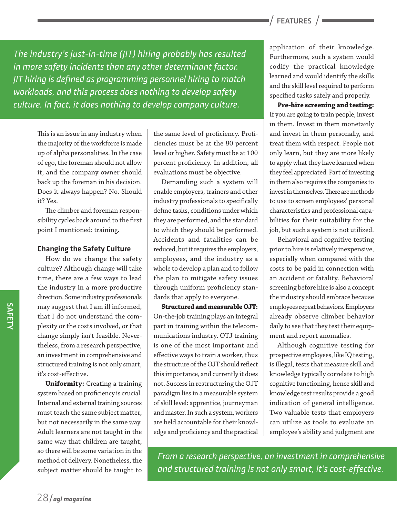#### / FEATURES /

*The industry's just-in-time (JIT) hiring probably has resulted in more safety incidents than any other determinant factor. JIT hiring is defined as programming personnel hiring to match workloads, and this process does nothing to develop safety culture. In fact, it does nothing to develop company culture.* 

> This is an issue in any industry when the majority of the workforce is made up of alpha personalities. In the case of ego, the foreman should not allow it, and the company owner should back up the foreman in his decision. Does it always happen? No. Should it? Yes.

> The climber and foreman responsibility cycles back around to the first point I mentioned: training.

#### Changing the Safety Culture

How do we change the safety culture? Although change will take time, there are a few ways to lead the industry in a more productive direction. Some industry professionals may suggest that I am ill informed, that I do not understand the complexity or the costs involved, or that change simply isn't feasible. Nevertheless, from a research perspective, an investment in comprehensive and structured training is not only smart, it's cost-effective.

**Uniformity:** Creating a training system based on proficiency is crucial. Internal and external training sources must teach the same subject matter, but not necessarily in the same way. Adult learners are not taught in the same way that children are taught, so there will be some variation in the method of delivery. Nonetheless, the subject matter should be taught to

the same level of proficiency. Proficiencies must be at the 80 percent level or higher. Safety must be at 100 percent proficiency. In addition, all evaluations must be objective.

Demanding such a system will enable employers, trainers and other industry professionals to specifically define tasks, conditions under which they are performed, and the standard to which they should be performed. Accidents and fatalities can be reduced, but it requires the employers, employees, and the industry as a whole to develop a plan and to follow the plan to mitigate safety issues through uniform proficiency standards that apply to everyone.

**Structured and measurable OJT:** On-the-job training plays an integral part in training within the telecommunications industry. OTJ training is one of the most important and effective ways to train a worker, thus the structure of the OJT should reflect this importance, and currently it does not. Success in restructuring the OJT paradigm lies in a measurable system of skill level: apprentice, journeyman and master. In such a system, workers are held accountable for their knowledge and proficiency and the practical

application of their knowledge. Furthermore, such a system would codify the practical knowledge learned and would identify the skills and the skill level required to perform specified tasks safely and properly.

**Pre-hire screening and testing:**  If you are going to train people, invest in them. Invest in them monetarily and invest in them personally, and treat them with respect. People not only learn, but they are more likely to apply what they have learned when they feel appreciated. Part of investing in them also requires the companies to invest in themselves. There are methods to use to screen employees' personal characteristics and professional capabilities for their suitability for the job, but such a system is not utilized.

Behavioral and cognitive testing prior to hire is relatively inexpensive, especially when compared with the costs to be paid in connection with an accident or fatality. Behavioral screening before hire is also a concept the industry should embrace because employees repeat behaviors. Employers already observe climber behavior daily to see that they test their equipment and report anomalies.

Although cognitive testing for prospective employees, like IQ testing, is illegal, tests that measure skill and knowledge typically correlate to high cognitive functioning, hence skill and knowledge test results provide a good indication of general intelligence. Two valuable tests that employers can utilize as tools to evaluate an employee's ability and judgment are

*From a research perspective, an investment in comprehensive and structured training is not only smart, it's cost-effective.*